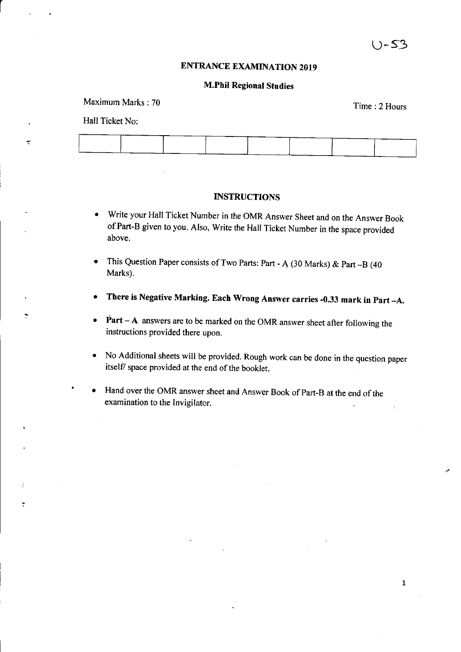$\mathbf{1}$ 

### **ENTRANCE EXAMINATION 2019**

#### M.Phil Regional Studies

Time : 2 Hours Maximum Marks : 70

### Hall Ticket No:

÷

#### **INSTRUCTIONS**

- Write your Hall Ticket Number in the OMR Answer Sheet and on the Answer Book ofPart-B given to you. Also, Write the Hall Ticket Number in the space provided above,
- This Question Paper consists of Two Parts: Part A (30 Marks) & Part B (40 Marks).
- There is Negative Marking. Each Wrong Answer carries -0.33 mark in Part -A.
- $\bullet$  Part A answers are to be marked on the OMR answer sheet after following the instructions provided there upon.
- No Additional sheets will be provided. Rough work can be done in the question paper itself/ space provided at the end of the booklet.
- Hand over the OMR answer sheet and Answer Book of Part-B at the end of the examination to the Invigilator.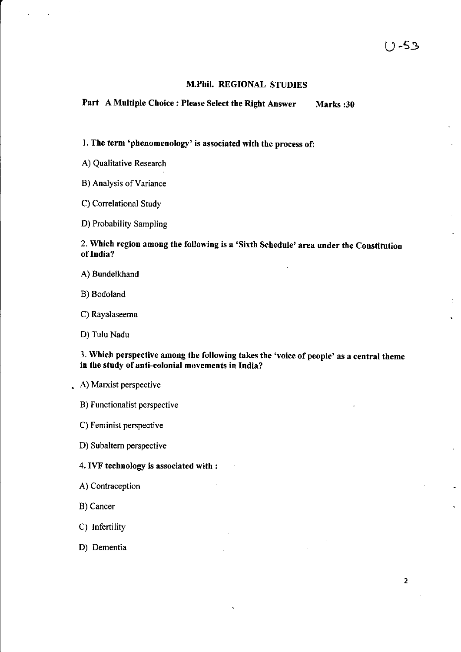### M.Phil. REGIONAL STUDIES

Part A Multiple Choice : Please Select the Right Answer Marks :30

l. The term 'phenomenology' is associated with the process of:

A) Qualitative Research

B) Analysis of Variance

C) Correlational Study

D) Probability Sampling

2. which region among the following is a'Sixth schedule'area under the constitution of India?

- A) Bundelkhand
- B) Bodoland
- C) Rayalaseema
- D) Tulu Nadu

3. Which perspective among the following takes the 'voice of people' as a central theme in the study of anti-colonial movements in India?

. A) Maxist perspective

B) Functionalist perspective

C) Feminist perspective

D) Subaltern perspective

#### 4. IVF technology is associated with :

- A) Contraception
- B) Cancer
- C) Infertility
- D) Dementia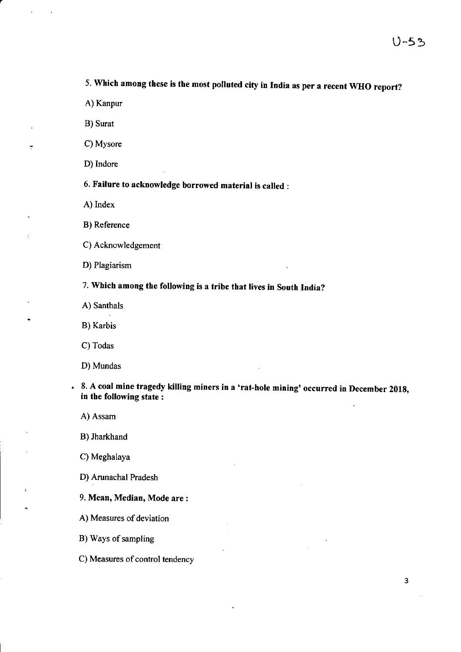5. Which among these is the most polluted city in India as per a recent WHO report?

A) Kanpur

B) Surat

C) Mysore

D) Indore

6. Failure to acknowledge borrowed material is called :

A) Index

B) Reference

C) Acknowledgement

D) Plagiarism

7. Which among the following is a tribe that lives in South India?

A) Santhals

B) Karbis

C) Todas

D) Mundas

8. A coal mine tragedy killing miners in a 'rat-hole mining' occurred in December 2018, in the following state :

A) Assam

 $\ddot{\phantom{a}}$ 

B) Jharkhand

C) Meghalaya

D) Arunachal Pradesh

9. Mean, Median, Mode are :

A) Measures of deviation

B) Ways of sampling

C) Measures of control tendency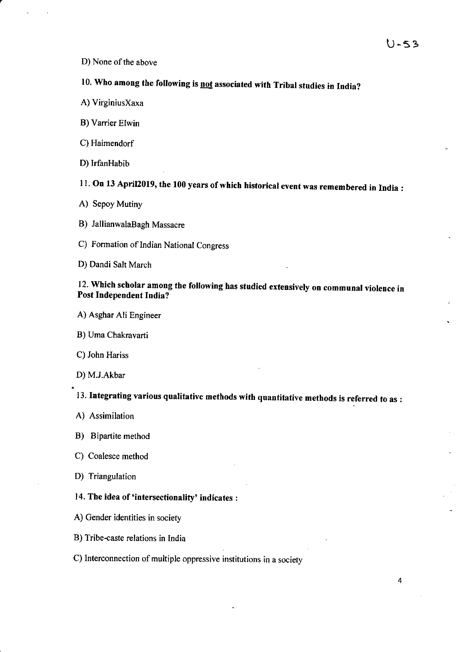D) None of the above

# 10. Who among the following is not associated with Tribal studies in India?

- A) VirginiusXaxa
- B) Varrier Elwin
- C) Haimendorf
- D) IrfanHabib
- 11. On 13 April 2019, the 100 years of which historical event was remembered in India :
- A) Sepoy Mutiny
- B) JallianwalaBagh Massacre

C) Formation of Indian National Congress

D) Dandi Salt March

### 12. which scholar among the following has studied extensively on communal violence in Post Independent India?

- A) Asghar Ali Engineer
- B) Uma Chakravarti
- C) John Hariss
- D) M.J.Akbar

13. Integrating various qualitative methods with quantitative methods is referred to as :

- A) Assimilation
- B) Bipartite method
- C) Coalesce method
- D) Triangulation

### 14. The idea of 'intersectionality' indicates :

- A) Gender identities in society
- B) Tribe-caste relations in India
- C) Interconnection of multiple oppressive institutions in a society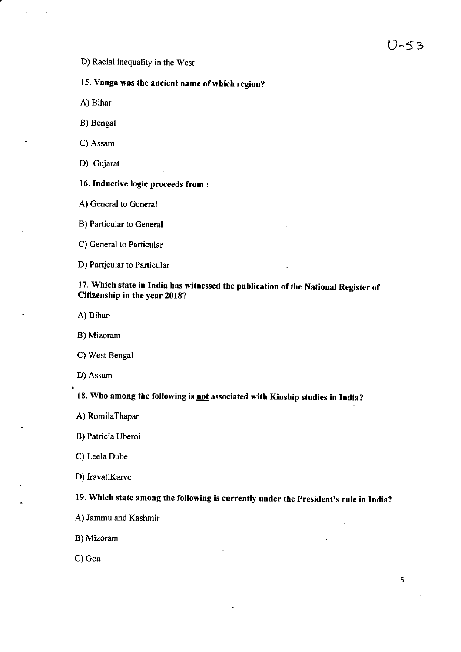### D) Racial inequality in the West

## 15. Vanga was the ancient name of which region?

A) Bihar

B) Bengal

C) Assam

D) Gujarat

16. Inductive logic proceeds from :

A) General to General

B) Particular to General

C) General to Particular

D) Particular to Particular

### 17. which state in India has witnessed the publication of the National Register of Citizenship in the year 2018?

A) Bihar.

B) Mizoram

C) West Bengal

D) Assam

18. Who among the following is not associated with Kinship studies in India?

A) RomilaThapar

B) Patricia Uberoi

C) Leela Dube

D) IravatiKarve

19. Which state among the following is currently under the president's rule in India?

B) Mizoram

C) Goa

A) Jammu and Kashmir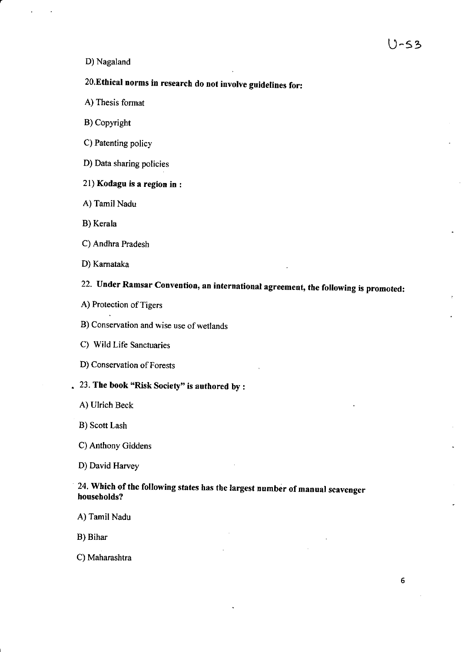#### D) Nagaland

# 20,Ethical norms in research do not involve guidelines for:

- A) Thesis format
- B) Copyright
- C) Patenting policy
- D) Data sharing policies
- 2l) Kodagu is a region in :
- A) Tamil Nadu
- B) Kerala
- C) Andhra Pradesh
- D) Kamataka

# 22. Under Ramsar Convention, an international agreement, the following is promoted:

- A) Protection of Tigers
- B) Conservation and wise use of wetlands
- C) Wild Life Sanctuaries
- D) Conservation of Forests

### . 23. The book "Risk Society" is authored by :

- A) Ulrich Beck
- B) Scott Lash
- C) Anthony Giddens
- D) David Harvey

### 24. Which of the following states has the largest number of manual scavenger households?

- A) Tamil Nadu
- B) Bihar
- C) Maharashtra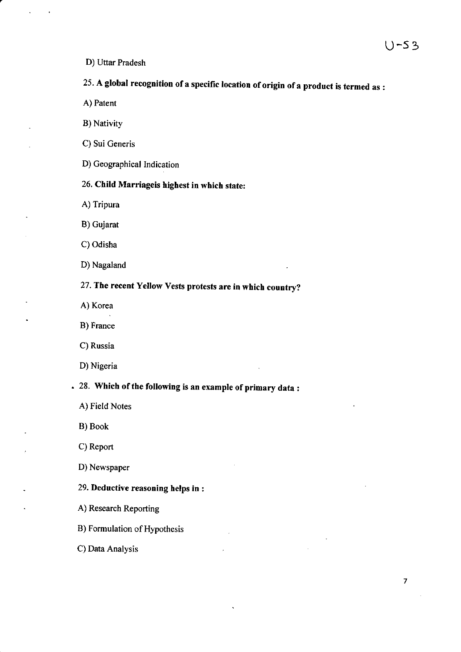D) Uttar Pradesh

# 25. A global recognition of a specific location of origin of a product is termed as :

- A) Patent
- B) Nativity
- C) Sui Generis
- D) Geographical Indication

## 26. Child Marriageis highest in which state:

- A) Tripura
- B) Gujarat
- C) Odisha
- D) Nagaland

27. The recent Yellow Vests protests are in which country?

- A) Korea
- B) France
- C) Russia
- D) Nigeria

# 28. Which of the following is an example of primary data :

- A) Field Notes
- B) Book
- C) Report
- D) Newspaper
- 29. Deductive reasoning helps in :
- A) Research Reporting
- B) Formulation of Hypothesis
- C) Data Analysis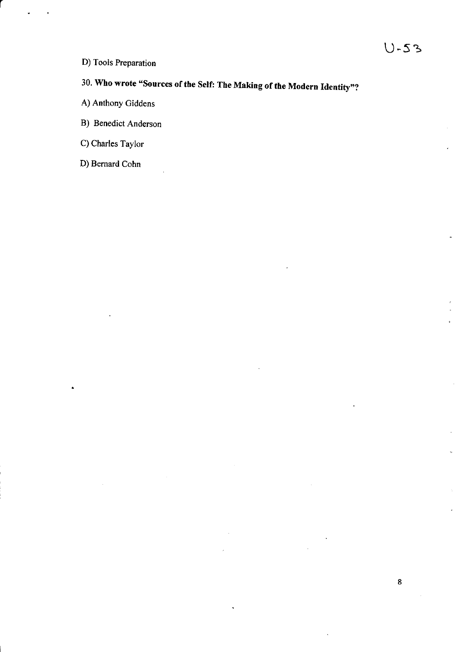- D) Tools Preparation
- 30. Who wrote "Sources of the Self: The Making of the Modern Identity"?
- A) Anthony Giddens
- B) Benedict Anderson
- C) Charles Taylor
- D) Bernard Cohn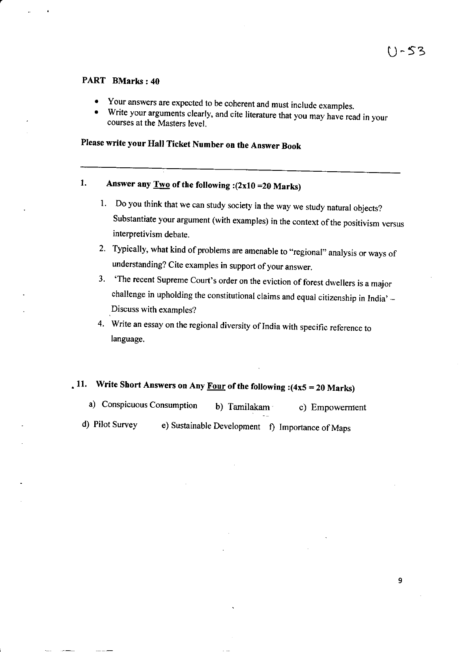9

### PART BMarks:40

- o Your answers are expected to be coherent and must include examples.
- . Write your arguments clearly, and cite literature that you may have read in your courses at the Masters level.

## Please write your Hall Ticket Number on the Answer Book

## 1. Answer any  $\underline{Two}$  of the following :(2x10 =20 Marks)

- 1. Do you think that we can study society in the way we study natural objects? Substantiate your argument (with examples) in the context of the positivism versus interpretivism debate.
- 2. Typically, what kind of problems are amenable to "regional" analysis or ways of understanding? Cite examples in support of your answer.
- 3. 'The recent Supreme court's order on the eviction of forest dwellers is a major challenge in upholding the constitutional claims and equal citizenship in India'  $-$ .Discuss with examples?
- 4. Write an essay on the regional diversity of India with specific reference to Ianguage.

# . 11. Write Short Answers on Any **Four** of the following :(4x5 = 20 Marks)

| a) Conspicuous Consumption | b) Tamilakam | c) Empowerment                                   |
|----------------------------|--------------|--------------------------------------------------|
| d) Pilot Survey            |              | e) Sustainable Development f) Importance of Maps |